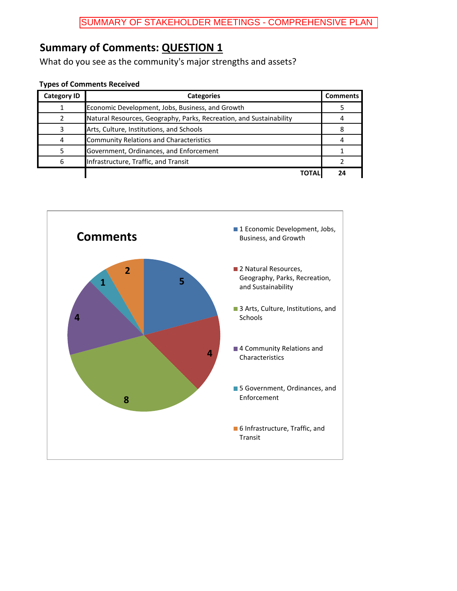What do you see as the community's major strengths and assets?

| <b>Category ID</b> | <b>Categories</b>                                                   | <b>Comments</b> |
|--------------------|---------------------------------------------------------------------|-----------------|
|                    | Economic Development, Jobs, Business, and Growth                    |                 |
|                    | Natural Resources, Geography, Parks, Recreation, and Sustainability |                 |
|                    | Arts, Culture, Institutions, and Schools                            |                 |
| Δ                  | Community Relations and Characteristics                             |                 |
|                    | Government, Ordinances, and Enforcement                             |                 |
|                    | Infrastructure, Traffic, and Transit                                |                 |
|                    | ΤΩΤΑΙ                                                               | 2Δ              |

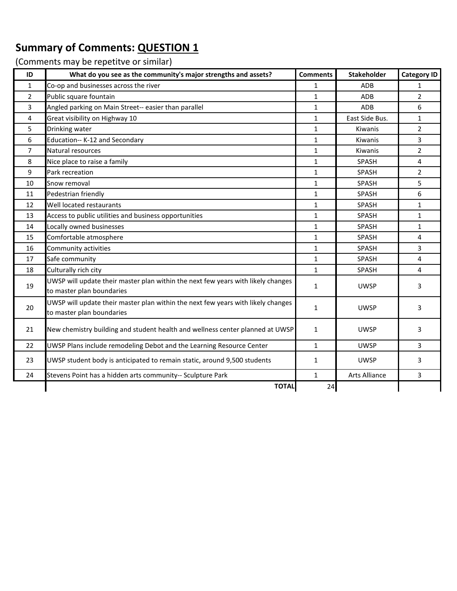| ID             | What do you see as the community's major strengths and assets?                                                | <b>Comments</b> | <b>Stakeholder</b>   | <b>Category ID</b> |
|----------------|---------------------------------------------------------------------------------------------------------------|-----------------|----------------------|--------------------|
| 1              | Co-op and businesses across the river                                                                         | $\mathbf{1}$    | ADB                  | $\mathbf{1}$       |
| $\overline{2}$ | Public square fountain                                                                                        | $\mathbf{1}$    | ADB                  | $\overline{2}$     |
| 3              | Angled parking on Main Street-- easier than parallel                                                          | $\mathbf{1}$    | ADB                  | 6                  |
| 4              | Great visibility on Highway 10                                                                                | $\mathbf{1}$    | East Side Bus.       | $\mathbf{1}$       |
| 5              | Drinking water                                                                                                | $\mathbf{1}$    | Kiwanis              | $\overline{2}$     |
| 6              | Education-- K-12 and Secondary                                                                                | $\mathbf{1}$    | Kiwanis              | 3                  |
| $\overline{7}$ | Natural resources                                                                                             | $\mathbf{1}$    | Kiwanis              | $\overline{2}$     |
| 8              | Nice place to raise a family                                                                                  | $\mathbf{1}$    | SPASH                | 4                  |
| 9              | Park recreation                                                                                               | $\mathbf{1}$    | SPASH                | $\overline{2}$     |
| 10             | Snow removal                                                                                                  | $\mathbf{1}$    | SPASH                | 5                  |
| 11             | Pedestrian friendly                                                                                           | $\mathbf{1}$    | SPASH                | 6                  |
| 12             | Well located restaurants                                                                                      | $\mathbf{1}$    | SPASH                | $\mathbf{1}$       |
| 13             | Access to public utilities and business opportunities                                                         | $\mathbf{1}$    | SPASH                | $\mathbf{1}$       |
| 14             | Locally owned businesses                                                                                      | $\mathbf{1}$    | SPASH                | $\mathbf{1}$       |
| 15             | Comfortable atmosphere                                                                                        | $\mathbf{1}$    | SPASH                | 4                  |
| 16             | Community activities                                                                                          | $\mathbf{1}$    | SPASH                | 3                  |
| 17             | Safe community                                                                                                | $\mathbf{1}$    | SPASH                | 4                  |
| 18             | Culturally rich city                                                                                          | $\mathbf{1}$    | SPASH                | 4                  |
| 19             | UWSP will update their master plan within the next few years with likely changes<br>to master plan boundaries | 1               | <b>UWSP</b>          | 3                  |
| 20             | UWSP will update their master plan within the next few years with likely changes<br>to master plan boundaries | $\mathbf{1}$    | <b>UWSP</b>          | 3                  |
| 21             | New chemistry building and student health and wellness center planned at UWSP                                 | $\mathbf{1}$    | <b>UWSP</b>          | 3                  |
| 22             | UWSP Plans include remodeling Debot and the Learning Resource Center                                          | $\mathbf{1}$    | <b>UWSP</b>          | 3                  |
| 23             | UWSP student body is anticipated to remain static, around 9,500 students                                      | 1               | <b>UWSP</b>          | 3                  |
| 24             | Stevens Point has a hidden arts community-- Sculpture Park                                                    | $\mathbf{1}$    | <b>Arts Alliance</b> | 3                  |
|                | <b>TOTAL</b>                                                                                                  | 24              |                      |                    |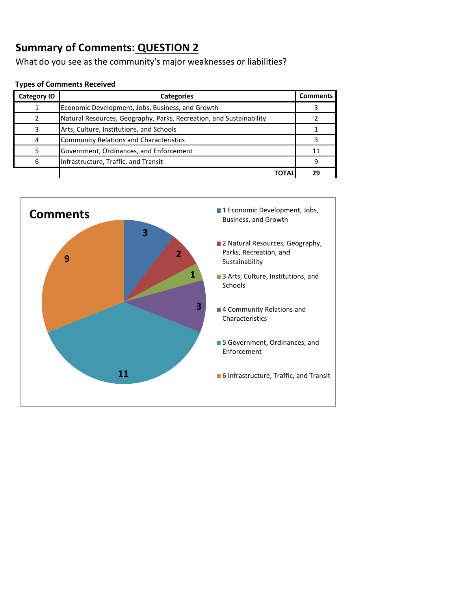What do you see as the community's major weaknesses or liabilities?

| <b>Category ID</b> | <b>Categories</b>                                                   | <b>Comments</b> |
|--------------------|---------------------------------------------------------------------|-----------------|
|                    | Economic Development, Jobs, Business, and Growth                    |                 |
|                    | Natural Resources, Geography, Parks, Recreation, and Sustainability |                 |
|                    | Arts, Culture, Institutions, and Schools                            |                 |
| 4                  | <b>Community Relations and Characteristics</b>                      |                 |
|                    | Government, Ordinances, and Enforcement                             | 11              |
| 6                  | Infrastructure, Traffic, and Transit                                | 9               |
|                    |                                                                     | າດ              |

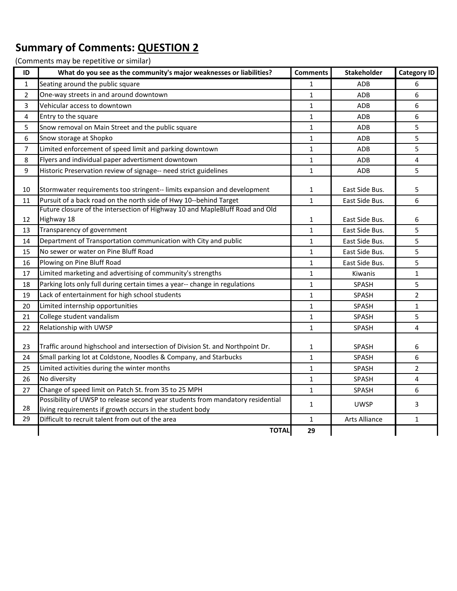| ID             | What do you see as the community's major weaknesses or liabilities?            | <b>Comments</b> | <b>Stakeholder</b> | <b>Category ID</b> |
|----------------|--------------------------------------------------------------------------------|-----------------|--------------------|--------------------|
| $\mathbf{1}$   | Seating around the public square                                               | $\mathbf{1}$    | <b>ADB</b>         | 6                  |
| $\overline{2}$ | One-way streets in and around downtown                                         | $\mathbf{1}$    | ADB                | 6                  |
| 3              | Vehicular access to downtown                                                   | $\mathbf{1}$    | ADB                | 6                  |
| 4              | Entry to the square                                                            | $\mathbf{1}$    | ADB                | 6                  |
| 5              | Snow removal on Main Street and the public square                              | 1               | ADB                | 5                  |
| 6              | Snow storage at Shopko                                                         | $\mathbf{1}$    | ADB                | 5                  |
| $\overline{7}$ | Limited enforcement of speed limit and parking downtown                        | 1               | ADB                | 5                  |
| 8              | Flyers and individual paper advertisment downtown                              | $\mathbf{1}$    | ADB                | 4                  |
| 9              | Historic Preservation review of signage-- need strict guidelines               | $\mathbf{1}$    | ADB                | 5                  |
| 10             | Stormwater requirements too stringent-- limits expansion and development       | $\mathbf{1}$    | East Side Bus.     | 5                  |
| 11             | Pursuit of a back road on the north side of Hwy 10--behind Target              | $\mathbf{1}$    | East Side Bus.     | 6                  |
|                | Future closure of the intersection of Highway 10 and MapleBluff Road and Old   |                 |                    |                    |
| 12             | Highway 18                                                                     | 1               | East Side Bus.     | 6                  |
| 13             | Transparency of government                                                     | $\mathbf{1}$    | East Side Bus.     | 5                  |
| 14             | Department of Transportation communication with City and public                | $\mathbf{1}$    | East Side Bus.     | 5                  |
| 15             | No sewer or water on Pine Bluff Road                                           | 1               | East Side Bus.     | 5                  |
| 16             | Plowing on Pine Bluff Road                                                     | $\mathbf{1}$    | East Side Bus.     | 5                  |
| 17             | Limited marketing and advertising of community's strengths                     | $\mathbf{1}$    | Kiwanis            | $\mathbf{1}$       |
| 18             | Parking lots only full during certain times a year-- change in regulations     | $\mathbf{1}$    | SPASH              | 5                  |
| 19             | Lack of entertainment for high school students                                 | $\mathbf{1}$    | SPASH              | $\overline{2}$     |
| 20             | Limited internship opportunities                                               | $\mathbf{1}$    | SPASH              | $\mathbf{1}$       |
| 21             | College student vandalism                                                      | $\mathbf{1}$    | <b>SPASH</b>       | 5                  |
| 22             | Relationship with UWSP                                                         | $\mathbf{1}$    | SPASH              | 4                  |
|                |                                                                                |                 |                    |                    |
| 23             | Traffic around highschool and intersection of Division St. and Northpoint Dr.  | 1               | SPASH              | 6                  |
| 24             | Small parking lot at Coldstone, Noodles & Company, and Starbucks               | $\mathbf{1}$    | SPASH              | 6                  |
| 25             | Limited activities during the winter months                                    | 1               | SPASH              | $\overline{2}$     |
| 26             | No diversity                                                                   | $\mathbf{1}$    | SPASH              | 4                  |
| 27             | Change of speed limit on Patch St. from 35 to 25 MPH                           | $\mathbf{1}$    | SPASH              | 6                  |
|                | Possibility of UWSP to release second year students from mandatory residential | 1               | <b>UWSP</b>        | 3                  |
| 28             | living requirements if growth occurs in the student body                       |                 |                    |                    |
| 29             | Difficult to recruit talent from out of the area                               | $\mathbf{1}$    | Arts Alliance      | $\mathbf{1}$       |
|                | <b>TOTAL</b>                                                                   | 29              |                    |                    |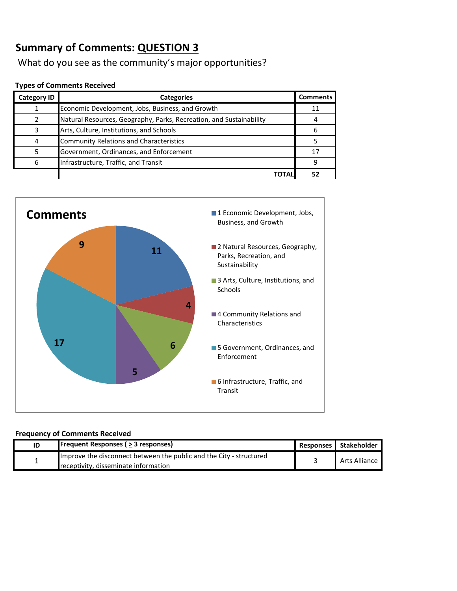What do you see as the community's major opportunities?

#### **Types of Comments Received**

| <b>Category ID</b> | <b>Categories</b>                                                   | <b>Comments</b> |
|--------------------|---------------------------------------------------------------------|-----------------|
|                    | Economic Development, Jobs, Business, and Growth                    | 11              |
|                    | Natural Resources, Geography, Parks, Recreation, and Sustainability |                 |
| 3                  | Arts, Culture, Institutions, and Schools                            | 6               |
|                    | <b>Community Relations and Characteristics</b>                      |                 |
|                    | Government, Ordinances, and Enforcement                             | 17              |
| 6                  | Infrastructure, Traffic, and Transit                                | 9               |
|                    |                                                                     |                 |



#### **Frequency of Comments Received**

| ID | <b>Frequent Responses (&gt; 3 responses)</b>                        | Responses Stakeholder |
|----|---------------------------------------------------------------------|-----------------------|
|    | Improve the disconnect between the public and the City - structured | Arts Alliance         |
|    | receptivity, disseminate information                                |                       |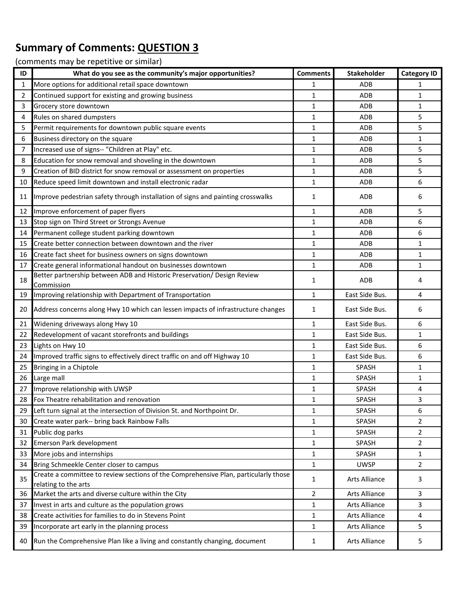| ID | What do you see as the community's major opportunities?                                                     | <b>Comments</b> | <b>Stakeholder</b>   | <b>Category ID</b> |
|----|-------------------------------------------------------------------------------------------------------------|-----------------|----------------------|--------------------|
| 1  | More options for additional retail space downtown                                                           | 1               | ADB                  | 1                  |
| 2  | Continued support for existing and growing business                                                         | 1               | ADB                  | $\mathbf{1}$       |
| 3  | Grocery store downtown                                                                                      | 1               | ADB                  | $\mathbf{1}$       |
| 4  | Rules on shared dumpsters                                                                                   | 1               | ADB                  | 5                  |
| 5  | Permit requirements for downtown public square events                                                       | 1               | ADB                  | 5                  |
| 6  | Business directory on the square                                                                            | 1               | ADB                  | $\mathbf{1}$       |
| 7  | Increased use of signs-- "Children at Play" etc.                                                            | 1               | ADB                  | 5                  |
| 8  | Education for snow removal and shoveling in the downtown                                                    | 1               | ADB                  | 5                  |
| 9  | Creation of BID district for snow removal or assessment on properties                                       | 1               | ADB                  | 5                  |
| 10 | Reduce speed limit downtown and install electronic radar                                                    | 1               | ADB                  | 6                  |
| 11 | Improve pedestrian safety through installation of signs and painting crosswalks                             | 1               | ADB                  | 6                  |
| 12 | Improve enforcement of paper flyers                                                                         | 1               | ADB                  | 5                  |
| 13 | Stop sign on Third Street or Strongs Avenue                                                                 | 1               | ADB                  | 6                  |
| 14 | Permanent college student parking downtown                                                                  | 1               | ADB                  | 6                  |
| 15 | Create better connection between downtown and the river                                                     | 1               | ADB                  | $\mathbf{1}$       |
| 16 | Create fact sheet for business owners on signs downtown                                                     | 1               | ADB                  | $\mathbf{1}$       |
| 17 | Create general informational handout on businesses downtown                                                 | 1               | ADB                  | 1                  |
| 18 | Better partnership between ADB and Historic Preservation/ Design Review<br>Commission                       | 1               | ADB                  | 4                  |
| 19 | Improving relationship with Department of Transportation                                                    | 1               | East Side Bus.       | 4                  |
| 20 | Address concerns along Hwy 10 which can lessen impacts of infrastructure changes                            | 1               | East Side Bus.       | 6                  |
| 21 | Widening driveways along Hwy 10                                                                             | 1               | East Side Bus.       | 6                  |
| 22 | Redevelopment of vacant storefronts and buildings                                                           | 1               | East Side Bus.       | $\mathbf{1}$       |
| 23 | Lights on Hwy 10                                                                                            | 1               | East Side Bus.       | 6                  |
| 24 | Improved traffic signs to effectively direct traffic on and off Highway 10                                  | 1               | East Side Bus.       | 6                  |
| 25 | Bringing in a Chiptole                                                                                      | 1               | <b>SPASH</b>         | 1                  |
| 26 | Large mall                                                                                                  | 1               | <b>SPASH</b>         | $\mathbf{1}$       |
| 27 | Improve relationship with UWSP                                                                              | 1               | SPASH                | 4                  |
| 28 | Fox Theatre rehabilitation and renovation                                                                   | 1               | SPASH                | 3                  |
| 29 | Left turn signal at the intersection of Division St. and Northpoint Dr.                                     | 1               | SPASH                | 6                  |
| 30 | Create water park-- bring back Rainbow Falls                                                                | 1               | SPASH                | $\overline{2}$     |
| 31 | Public dog parks                                                                                            | 1               | SPASH                | $\overline{2}$     |
| 32 | Emerson Park development                                                                                    | $\mathbf{1}$    | <b>SPASH</b>         | $\overline{2}$     |
| 33 | More jobs and internships                                                                                   | 1               | SPASH                | $\mathbf{1}$       |
| 34 | Bring Schmeekle Center closer to campus                                                                     | 1               | <b>UWSP</b>          | $\overline{2}$     |
| 35 | Create a committee to review sections of the Comprehensive Plan, particularly those<br>relating to the arts | 1               | Arts Alliance        | 3                  |
| 36 | Market the arts and diverse culture within the City                                                         | 2               | Arts Alliance        | 3                  |
| 37 | Invest in arts and culture as the population grows                                                          | 1               | <b>Arts Alliance</b> | 3                  |
| 38 | Create activities for families to do in Stevens Point                                                       | 1               | Arts Alliance        | 4                  |
| 39 | Incorporate art early in the planning process                                                               | 1               | <b>Arts Alliance</b> | 5                  |
| 40 | Run the Comprehensive Plan like a living and constantly changing, document                                  | 1               | Arts Alliance        | 5                  |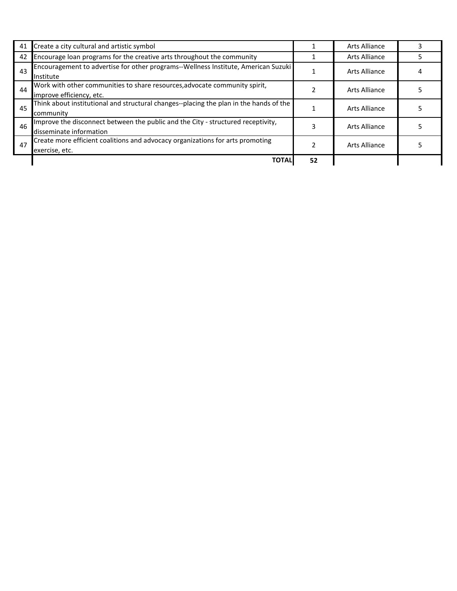| 41 | Create a city cultural and artistic symbol                                                                  |    | Arts Alliance |  |
|----|-------------------------------------------------------------------------------------------------------------|----|---------------|--|
| 42 | Encourage loan programs for the creative arts throughout the community                                      |    | Arts Alliance |  |
| 43 | Encouragement to advertise for other programs--Wellness Institute, American Suzuki<br>Institute             |    | Arts Alliance |  |
| 44 | Work with other communities to share resources, advocate community spirit,<br>improve efficiency, etc.      |    | Arts Alliance |  |
| 45 | Think about institutional and structural changes--placing the plan in the hands of the<br>community         |    | Arts Alliance |  |
| 46 | Improve the disconnect between the public and the City - structured receptivity,<br>disseminate information |    | Arts Alliance |  |
| 47 | Create more efficient coalitions and advocacy organizations for arts promoting<br>exercise, etc.            |    | Arts Alliance |  |
|    | <b>TOTAL</b>                                                                                                | 52 |               |  |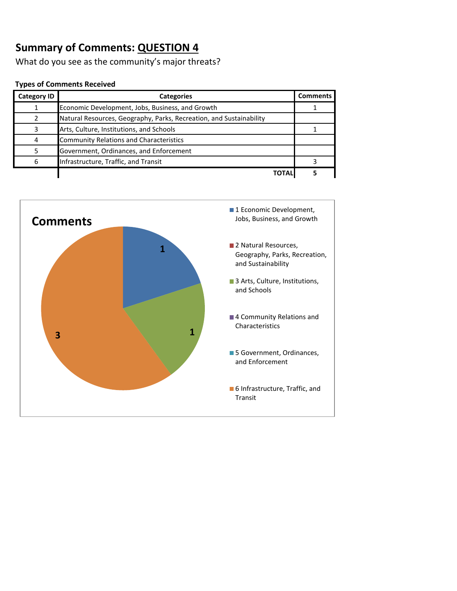What do you see as the community's major threats?

| <b>Category ID</b> | <b>Categories</b>                                                   | <b>Comments</b> |
|--------------------|---------------------------------------------------------------------|-----------------|
|                    | Economic Development, Jobs, Business, and Growth                    |                 |
|                    | Natural Resources, Geography, Parks, Recreation, and Sustainability |                 |
|                    | Arts, Culture, Institutions, and Schools                            |                 |
| 4                  | <b>Community Relations and Characteristics</b>                      |                 |
|                    | Government, Ordinances, and Enforcement                             |                 |
|                    | Infrastructure, Traffic, and Transit                                |                 |
|                    |                                                                     |                 |

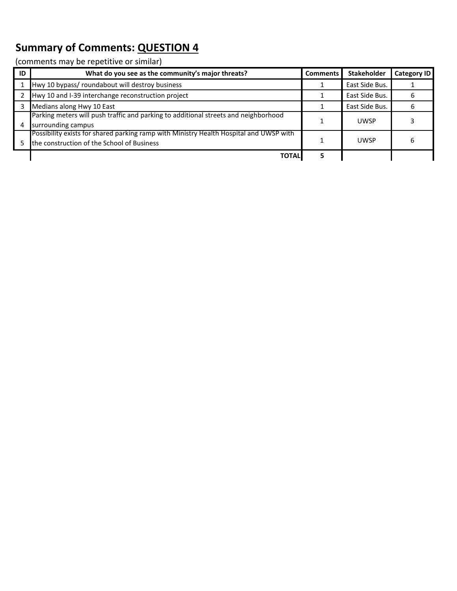| ID | What do you see as the community's major threats?                                                                                    | <b>Comments</b> | <b>Stakeholder</b> | <b>Category ID</b> |
|----|--------------------------------------------------------------------------------------------------------------------------------------|-----------------|--------------------|--------------------|
|    | Hwy 10 bypass/ roundabout will destroy business                                                                                      |                 | East Side Bus.     |                    |
|    | Hwy 10 and I-39 interchange reconstruction project                                                                                   |                 | East Side Bus.     |                    |
|    | Medians along Hwy 10 East                                                                                                            |                 | East Side Bus.     |                    |
|    | Parking meters will push traffic and parking to additional streets and neighborhood<br>surrounding campus                            |                 | <b>UWSP</b>        |                    |
|    | Possibility exists for shared parking ramp with Ministry Health Hospital and UWSP with<br>the construction of the School of Business |                 | <b>UWSP</b>        |                    |
|    | <b>TOTAL</b>                                                                                                                         |                 |                    |                    |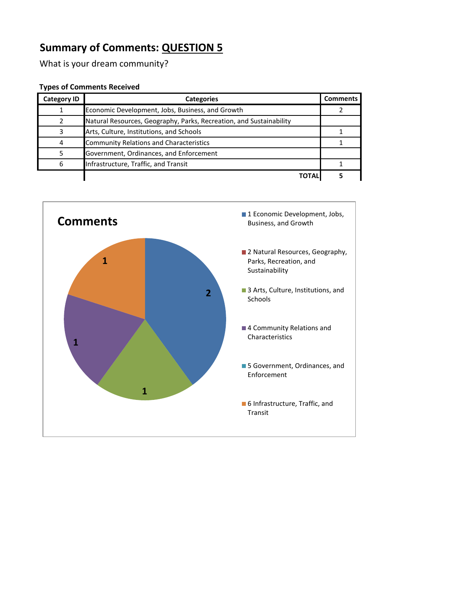What is your dream community?

| <b>Category ID</b> | <b>Categories</b>                                                   | <b>Comments</b> |
|--------------------|---------------------------------------------------------------------|-----------------|
|                    | Economic Development, Jobs, Business, and Growth                    |                 |
|                    | Natural Resources, Geography, Parks, Recreation, and Sustainability |                 |
|                    | Arts, Culture, Institutions, and Schools                            |                 |
| 4                  | <b>Community Relations and Characteristics</b>                      |                 |
|                    | Government, Ordinances, and Enforcement                             |                 |
| 6                  | Infrastructure, Traffic, and Transit                                |                 |
|                    | <b>TOTAL</b>                                                        |                 |

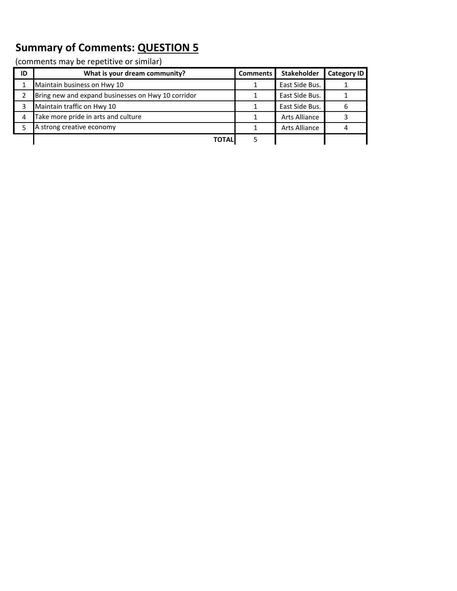| ID | What is your dream community?                      | Comments | <b>Stakeholder</b>   | <b>Category ID</b> |
|----|----------------------------------------------------|----------|----------------------|--------------------|
|    | Maintain business on Hwy 10                        |          | East Side Bus.       |                    |
|    | Bring new and expand businesses on Hwy 10 corridor |          | East Side Bus.       |                    |
|    | Maintain traffic on Hwy 10                         |          | East Side Bus.       |                    |
| 4  | Take more pride in arts and culture                |          | <b>Arts Alliance</b> |                    |
|    | A strong creative economy                          |          | Arts Alliance        |                    |
|    | <b>TOTAL</b>                                       |          |                      |                    |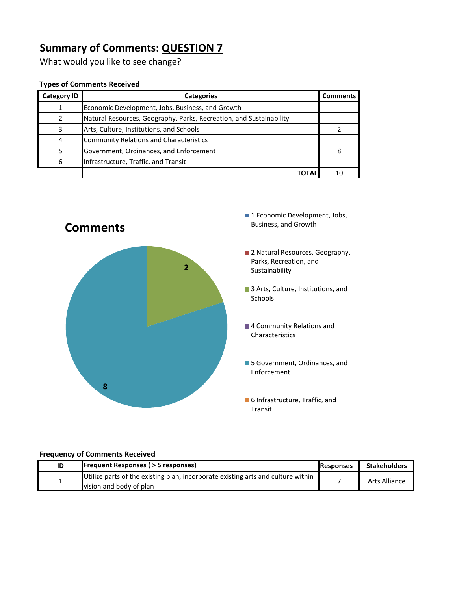What would you like to see change?

#### **Types of Comments Received**

| <b>Category ID</b> | <b>Categories</b>                                                   | <b>Comments</b> |
|--------------------|---------------------------------------------------------------------|-----------------|
|                    | Economic Development, Jobs, Business, and Growth                    |                 |
|                    | Natural Resources, Geography, Parks, Recreation, and Sustainability |                 |
| ੨                  | Arts, Culture, Institutions, and Schools                            |                 |
|                    | <b>Community Relations and Characteristics</b>                      |                 |
|                    | Government, Ordinances, and Enforcement                             |                 |
| 6                  | Infrastructure, Traffic, and Transit                                |                 |
|                    | <b>TOTA</b>                                                         | 10              |



#### **Frequency of Comments Received**

| ID | <b>Frequent Responses (&gt; 5 responses)</b>                                     | <b>Responses</b> | <b>Stakeholders</b>  |  |
|----|----------------------------------------------------------------------------------|------------------|----------------------|--|
|    | Utilize parts of the existing plan, incorporate existing arts and culture within |                  | <b>Arts Alliance</b> |  |
|    | vision and body of plan                                                          |                  |                      |  |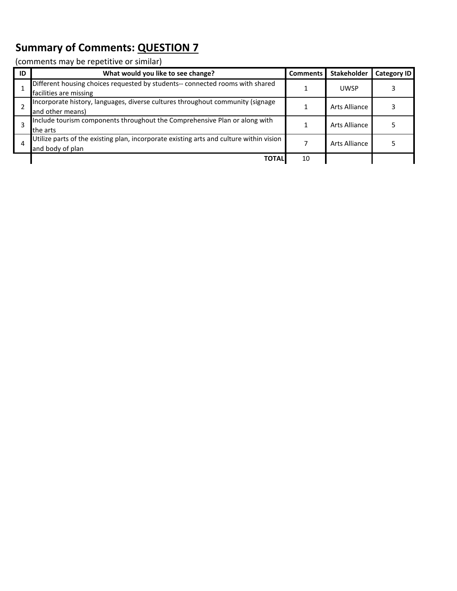| ID | What would you like to see change?                                                                          | <b>Comments</b> | <b>Stakeholder</b> | <b>Category ID</b> |
|----|-------------------------------------------------------------------------------------------------------------|-----------------|--------------------|--------------------|
|    | Different housing choices requested by students-- connected rooms with shared<br>facilities are missing     |                 | <b>UWSP</b>        |                    |
|    | Incorporate history, languages, diverse cultures throughout community (signage<br>and other means)          |                 | Arts Alliance      |                    |
|    | Include tourism components throughout the Comprehensive Plan or along with<br>the arts                      |                 | Arts Alliance      |                    |
| 4  | Utilize parts of the existing plan, incorporate existing arts and culture within vision<br>and body of plan |                 | Arts Alliance      |                    |
|    | <b>TOTAI</b>                                                                                                | 10              |                    |                    |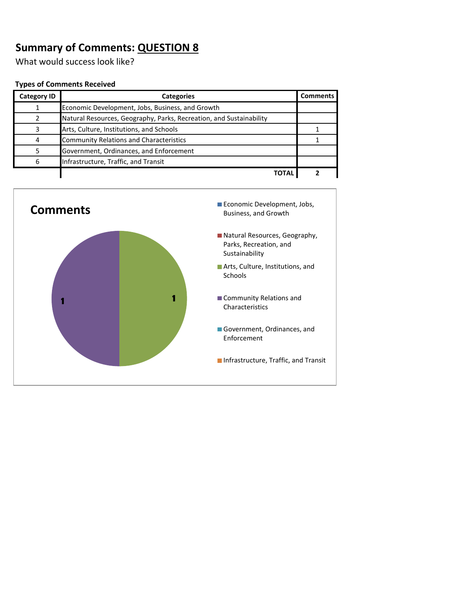What would success look like?

| <b>Category ID</b> | <b>Categories</b>                                                   | <b>Comments</b> |
|--------------------|---------------------------------------------------------------------|-----------------|
|                    | Economic Development, Jobs, Business, and Growth                    |                 |
|                    | Natural Resources, Geography, Parks, Recreation, and Sustainability |                 |
|                    | Arts, Culture, Institutions, and Schools                            |                 |
| 4                  | <b>Community Relations and Characteristics</b>                      |                 |
|                    | Government, Ordinances, and Enforcement                             |                 |
| 6                  | Infrastructure, Traffic, and Transit                                |                 |
|                    | ΤΩΤΑΙ                                                               |                 |

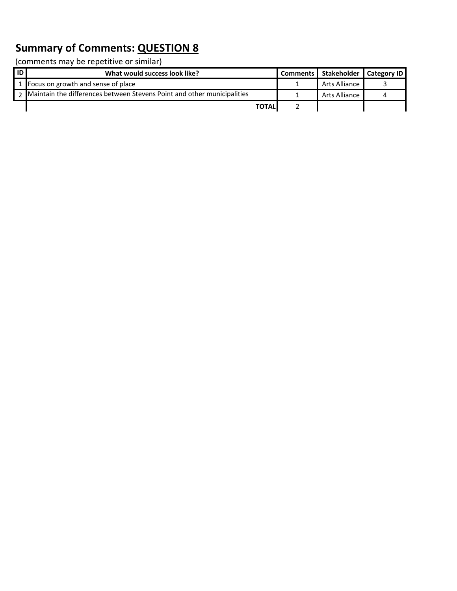| <b>ID</b> | What would success look like?                                             | Comments   Stakeholder   Category ID |  |
|-----------|---------------------------------------------------------------------------|--------------------------------------|--|
|           | 1 Focus on growth and sense of place                                      | Arts Alliance                        |  |
|           | 2 Maintain the differences between Stevens Point and other municipalities | Arts Alliance                        |  |
|           | <b>TOTALI</b>                                                             |                                      |  |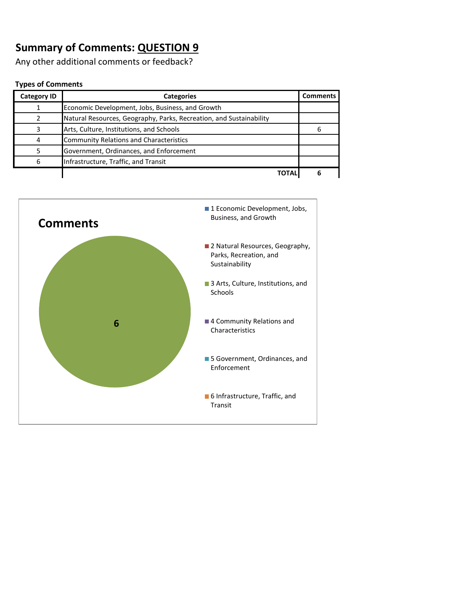Any other additional comments or feedback?

#### **Types of Comments**

| <b>Category ID</b> | <b>Categories</b>                                                   | <b>Comments</b> |
|--------------------|---------------------------------------------------------------------|-----------------|
|                    | Economic Development, Jobs, Business, and Growth                    |                 |
|                    | Natural Resources, Geography, Parks, Recreation, and Sustainability |                 |
|                    | Arts, Culture, Institutions, and Schools                            |                 |
| 4                  | <b>Community Relations and Characteristics</b>                      |                 |
|                    | Government, Ordinances, and Enforcement                             |                 |
| 6                  | Infrastructure, Traffic, and Transit                                |                 |
|                    | ΤΩΤΑΙ                                                               |                 |